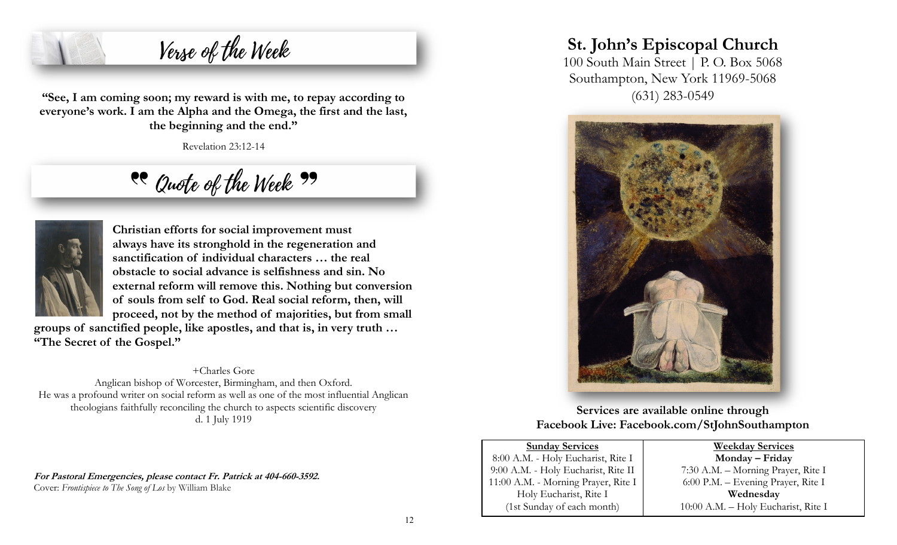# Verse of the Week

**"See, I am coming soon; my reward is with me, to repay according to everyone's work. I am the Alpha and the Omega, the first and the last, the beginning and the end."** 

Revelation 23:12-14





**Christian efforts for social improvement must always have its stronghold in the regeneration and sanctification of individual characters … the real obstacle to social advance is selfishness and sin. No external reform will remove this. Nothing but conversion of souls from self to God. Real social reform, then, will proceed, not by the method of majorities, but from small** 

**groups of sanctified people, like apostles, and that is, in very truth … "The Secret of the Gospel."**

+Charles Gore Anglican bishop of Worcester, Birmingham, and then Oxford. He was a profound writer on social reform as well as one of the most influential Anglican theologians faithfully reconciling the church to aspects scientific discovery d. 1 July 1919

**For Pastoral Emergencies, please contact Fr. Patrick at 404-660-3592.**

Cover: *Frontispiece to The Song of Los* by William Blake

**St. John's Episcopal Church** 100 South Main Street | P. O. Box 5068

Southampton, New York 11969-5068 (631) 283-0549



**Services are available online through Facebook Live: [Facebook.com/StJohnSouthampton](https://www.facebook.com/StJohnSouthampton/)**

**Sunday Services** 8:00 A.M. - Holy Eucharist, Rite I 9:00 A.M. - Holy Eucharist, Rite II 11:00 A.M. - Morning Prayer, Rite I Holy Eucharist, Rite I (1st Sunday of each month)

**Weekday Services Monday – Friday** 7:30 A.M. – Morning Prayer, Rite I 6:00 P.M. – Evening Prayer, Rite I **Wednesday** 10:00 A.M. – Holy Eucharist, Rite I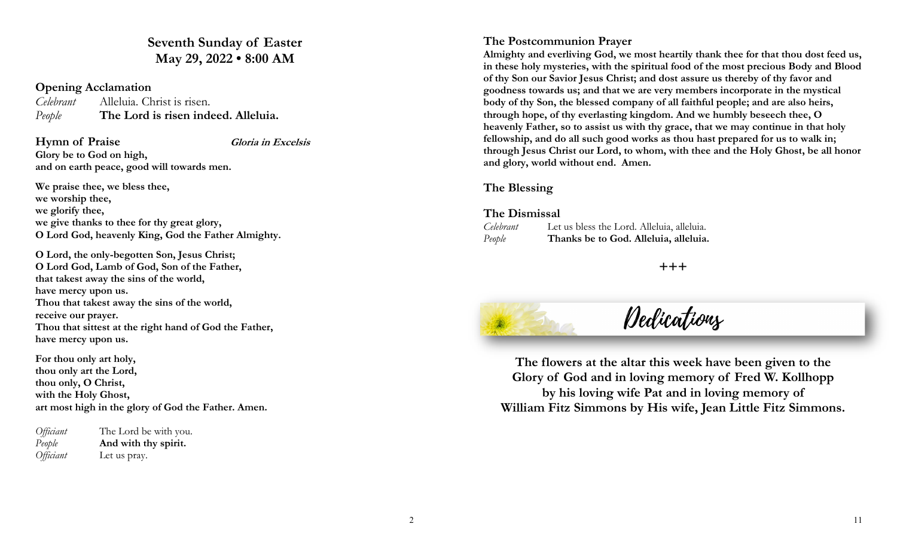# **Seventh Sunday of Easter May 29, 2022 • 8:00 AM**

#### **Opening Acclamation**

*Celebrant* Alleluia. Christ is risen. *People* **The Lord is risen indeed. Alleluia.** 

#### **Hymn of Praise Gloria in Excelsis**

**Glory be to God on high, and on earth peace, good will towards men.**

**We praise thee, we bless thee, we worship thee, we glorify thee, we give thanks to thee for thy great glory, O Lord God, heavenly King, God the Father Almighty.**

**O Lord, the only-begotten Son, Jesus Christ; O Lord God, Lamb of God, Son of the Father, that takest away the sins of the world, have mercy upon us. Thou that takest away the sins of the world, receive our prayer. Thou that sittest at the right hand of God the Father, have mercy upon us.**

**For thou only art holy, thou only art the Lord, thou only, O Christ, with the Holy Ghost, art most high in the glory of God the Father. Amen.**

*Officiant* The Lord be with you. *People* **And with thy spirit.** *Officiant* Let us pray.

### **The Postcommunion Prayer**

**Almighty and everliving God, we most heartily thank thee for that thou dost feed us, in these holy mysteries, with the spiritual food of the most precious Body and Blood of thy Son our Savior Jesus Christ; and dost assure us thereby of thy favor and goodness towards us; and that we are very members incorporate in the mystical body of thy Son, the blessed company of all faithful people; and are also heirs, through hope, of thy everlasting kingdom. And we humbly beseech thee, O heavenly Father, so to assist us with thy grace, that we may continue in that holy fellowship, and do all such good works as thou hast prepared for us to walk in; through Jesus Christ our Lord, to whom, with thee and the Holy Ghost, be all honor and glory, world without end. Amen.**

#### **The Blessing**

#### **The Dismissal**

| Celebrant | Let us bless the Lord. Alleluia, alleluia. |
|-----------|--------------------------------------------|
| People    | Thanks be to God. Alleluia, alleluia.      |

**+++**



Dedications

**The flowers at the altar this week have been given to the Glory of God and in loving memory of Fred W. Kollhopp by his loving wife Pat and in loving memory of William Fitz Simmons by His wife, Jean Little Fitz Simmons.**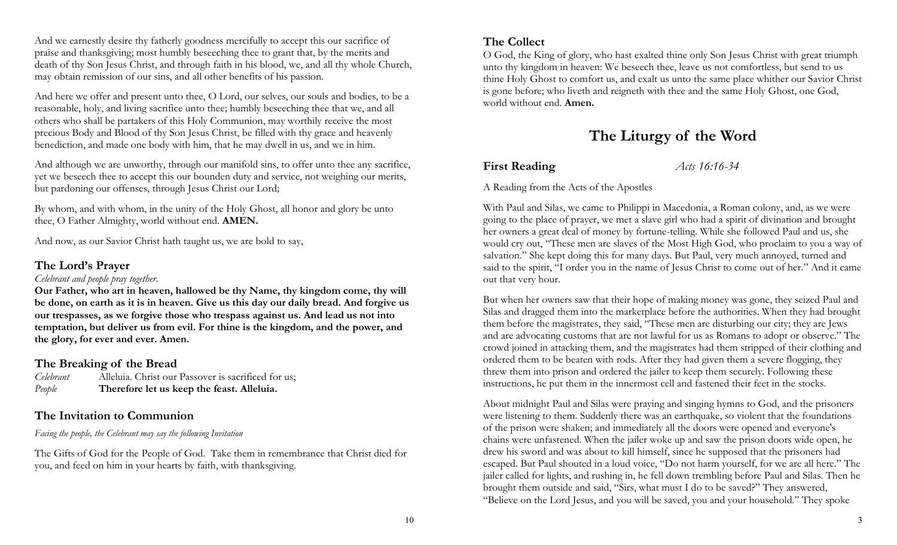And we earnestly desire thy fatherly goodness mercifully to accept this our sacrifice of praise and thanksgiving; most humbly beseeching thee to grant that, by the merits and death of thy Son Jesus Christ, and through faith in his blood, we, and all thy whole Church, may obtain remission of our sins, and all other benefits of his passion.

And here we offer and present unto thee, O Lord, our selves, our souls and bodies, to be a reasonable, holy, and living sacrifice unto thee; humbly beseeching thee that we, and all others who shall be partakers of this Holy Communion, may worthily receive the most precious Body and Blood of thy Son Jesus Christ, be filled with thy grace and heavenly benediction, and made one body with him, that he may dwell in us, and we in him.

And although we are unworthy, through our manifold sins, to offer unto thee any sacrifice, yet we beseech thee to accept this our bounden duty and service, not weighing our merits, but pardoning our offenses, through Jesus Christ our Lord;

By whom, and with whom, in the unity of the Holy Ghost, all honor and glory be unto thee, O Father Almighty, world without end. **AMEN.**

And now, as our Savior Christ hath taught us, we are bold to say,

#### **The Lord's Prayer**

#### *Celebrant and people pray together*.

**Our Father, who art in heaven, hallowed be thy Name, thy kingdom come, thy will be done, on earth as it is in heaven. Give us this day our daily bread. And forgive us our trespasses, as we forgive those who trespass against us. And lead us not into temptation, but deliver us from evil. For thine is the kingdom, and the power, and the glory, for ever and ever. Amen.**

#### **The Breaking of the Bread**

*Celebrant* Alleluia. Christ our Passover is sacrificed for us; *People* **Therefore let us keep the feast. Alleluia.**

#### **The Invitation to Communion**

*Facing the people, the Celebrant may say the following Invitation* 

The Gifts of God for the People of God. Take them in remembrance that Christ died for you, and feed on him in your hearts by faith, with thanksgiving.

# **The Collect**

O God, the King of glory, who hast exalted thine only Son Jesus Christ with great triumph unto thy kingdom in heaven: We beseech thee, leave us not comfortless, but send to us thine Holy Ghost to comfort us, and exalt us unto the same place whither our Savior Christ is gone before; who liveth and reigneth with thee and the same Holy Ghost, one God, world without end. **Amen.**

# **The Liturgy of the Word**

# **First Reading** *Acts 16:16-34*

A Reading from the Acts of the Apostles

With Paul and Silas, we came to Philippi in Macedonia, a Roman colony, and, as we were going to the place of prayer, we met a slave girl who had a spirit of divination and brought her owners a great deal of money by fortune-telling. While she followed Paul and us, she would cry out, "These men are slaves of the Most High God, who proclaim to you a way of salvation." She kept doing this for many days. But Paul, very much annoyed, turned and said to the spirit, "I order you in the name of Jesus Christ to come out of her." And it came out that very hour.

But when her owners saw that their hope of making money was gone, they seized Paul and Silas and dragged them into the marketplace before the authorities. When they had brought them before the magistrates, they said, "These men are disturbing our city; they are Jews and are advocating customs that are not lawful for us as Romans to adopt or observe." The crowd joined in attacking them, and the magistrates had them stripped of their clothing and ordered them to be beaten with rods. After they had given them a severe flogging, they threw them into prison and ordered the jailer to keep them securely. Following these instructions, he put them in the innermost cell and fastened their feet in the stocks.

About midnight Paul and Silas were praying and singing hymns to God, and the prisoners were listening to them. Suddenly there was an earthquake, so violent that the foundations of the prison were shaken; and immediately all the doors were opened and everyone's chains were unfastened. When the jailer woke up and saw the prison doors wide open, he drew his sword and was about to kill himself, since he supposed that the prisoners had escaped. But Paul shouted in a loud voice, "Do not harm yourself, for we are all here." The jailer called for lights, and rushing in, he fell down trembling before Paul and Silas. Then he brought them outside and said, "Sirs, what must I do to be saved?" They answered, "Believe on the Lord Jesus, and you will be saved, you and your household." They spoke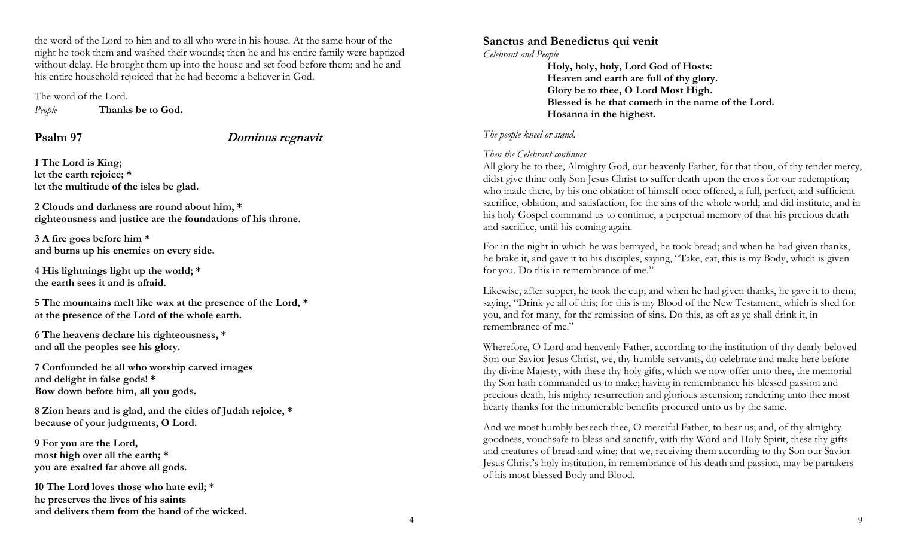the word of the Lord to him and to all who were in his house. At the same hour of the night he took them and washed their wounds; then he and his entire family were baptized without delay. He brought them up into the house and set food before them; and he and his entire household rejoiced that he had become a believer in God.

#### The word of the Lord. *People* **Thanks be to God.**

#### **Psalm 97 Dominus regnavit**

**1 The Lord is King; let the earth rejoice; \* let the multitude of the isles be glad.**

**2 Clouds and darkness are round about him, \* righteousness and justice are the foundations of his throne.**

**3 A fire goes before him \* and burns up his enemies on every side.**

**4 His lightnings light up the world; \* the earth sees it and is afraid.**

**5 The mountains melt like wax at the presence of the Lord, \* at the presence of the Lord of the whole earth.**

**6 The heavens declare his righteousness, \* and all the peoples see his glory.**

**7 Confounded be all who worship carved images and delight in false gods! \* Bow down before him, all you gods.**

**8 Zion hears and is glad, and the cities of Judah rejoice, \* because of your judgments, O Lord.**

**9 For you are the Lord, most high over all the earth; \* you are exalted far above all gods.**

**10 The Lord loves those who hate evil; \* he preserves the lives of his saints and delivers them from the hand of the wicked.**

#### **Sanctus and Benedictus qui venit**

*Celebrant and People*

**Holy, holy, holy, Lord God of Hosts: Heaven and earth are full of thy glory. Glory be to thee, O Lord Most High. Blessed is he that cometh in the name of the Lord. Hosanna in the highest.**

#### *The people kneel or stand.*

#### *Then the Celebrant continues*

All glory be to thee, Almighty God, our heavenly Father, for that thou, of thy tender mercy, didst give thine only Son Jesus Christ to suffer death upon the cross for our redemption; who made there, by his one oblation of himself once offered, a full, perfect, and sufficient sacrifice, oblation, and satisfaction, for the sins of the whole world; and did institute, and in his holy Gospel command us to continue, a perpetual memory of that his precious death and sacrifice, until his coming again.

For in the night in which he was betrayed, he took bread; and when he had given thanks, he brake it, and gave it to his disciples, saying, "Take, eat, this is my Body, which is given for you. Do this in remembrance of me."

Likewise, after supper, he took the cup; and when he had given thanks, he gave it to them, saying, "Drink ye all of this; for this is my Blood of the New Testament, which is shed for you, and for many, for the remission of sins. Do this, as oft as ye shall drink it, in remembrance of me."

Wherefore, O Lord and heavenly Father, according to the institution of thy dearly beloved Son our Savior Jesus Christ, we, thy humble servants, do celebrate and make here before thy divine Majesty, with these thy holy gifts, which we now offer unto thee, the memorial thy Son hath commanded us to make; having in remembrance his blessed passion and precious death, his mighty resurrection and glorious ascension; rendering unto thee most hearty thanks for the innumerable benefits procured unto us by the same.

And we most humbly beseech thee, O merciful Father, to hear us; and, of thy almighty goodness, vouchsafe to bless and sanctify, with thy Word and Holy Spirit, these thy gifts and creatures of bread and wine; that we, receiving them according to thy Son our Savior Jesus Christ's holy institution, in remembrance of his death and passion, may be partakers of his most blessed Body and Blood.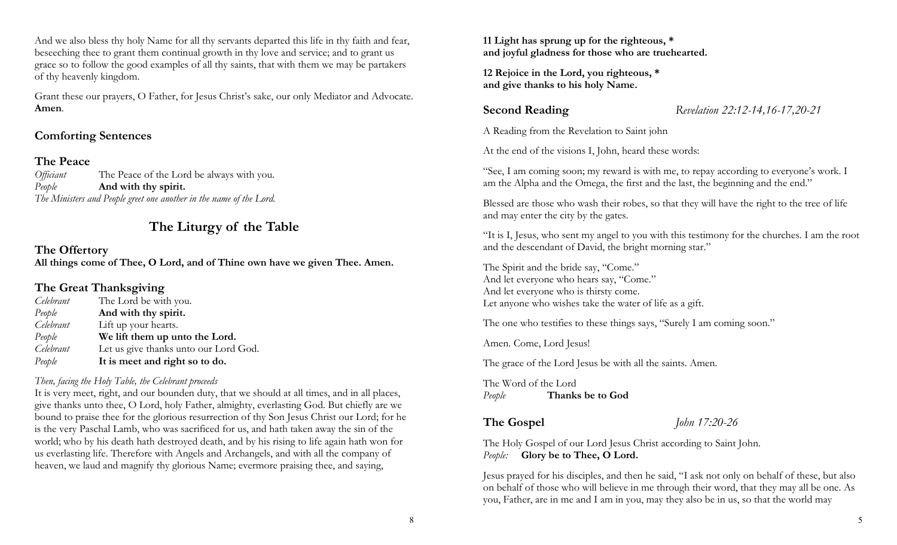And we also bless thy holy Name for all thy servants departed this life in thy faith and fear, beseeching thee to grant them continual growth in thy love and service; and to grant us grace so to follow the good examples of all thy saints, that with them we may be partakers of thy heavenly kingdom.

Grant these our prayers, O Father, for Jesus Christ's sake, our only Mediator and Advocate. **Amen**.

### **Comforting Sentences**

### **The Peace**

*Officiant* The Peace of the Lord be always with you. *People* **And with thy spirit.** *The Ministers and People greet one another in the name of the Lord.*

# **The Liturgy of the Table**

#### **The Offertory**

**All things come of Thee, O Lord, and of Thine own have we given Thee. Amen.**

# **The Great Thanksgiving**

*Celebrant* The Lord be with you. *People* **And with thy spirit.** *Celebrant* Lift up your hearts. *People* **We lift them up unto the Lord.** *Celebrant* Let us give thanks unto our Lord God. *People* **It is meet and right so to do.**

#### *Then, facing the Holy Table, the Celebrant proceeds*

It is very meet, right, and our bounden duty, that we should at all times, and in all places, give thanks unto thee, O Lord, holy Father, almighty, everlasting God. But chiefly are we bound to praise thee for the glorious resurrection of thy Son Jesus Christ our Lord; for he is the very Paschal Lamb, who was sacrificed for us, and hath taken away the sin of the world; who by his death hath destroyed death, and by his rising to life again hath won for us everlasting life. Therefore with Angels and Archangels, and with all the company of heaven, we laud and magnify thy glorious Name; evermore praising thee, and saying,

**11 Light has sprung up for the righteous, \* and joyful gladness for those who are truehearted.**

**12 Rejoice in the Lord, you righteous, \* and give thanks to his holy Name.**

**Second Reading** *Revelation 22:12-14,16-17,20-21*

A Reading from the Revelation to Saint john

At the end of the visions I, John, heard these words:

"See, I am coming soon; my reward is with me, to repay according to everyone's work. I am the Alpha and the Omega, the first and the last, the beginning and the end."

Blessed are those who wash their robes, so that they will have the right to the tree of life and may enter the city by the gates.

"It is I, Jesus, who sent my angel to you with this testimony for the churches. I am the root and the descendant of David, the bright morning star."

The Spirit and the bride say, "Come." And let everyone who hears say, "Come." And let everyone who is thirsty come. Let anyone who wishes take the water of life as a gift.

The one who testifies to these things says, "Surely I am coming soon."

Amen. Come, Lord Jesus!

The grace of the Lord Jesus be with all the saints. Amen.

The Word of the Lord *People* **Thanks be to God** 

# **The Gospel** *John 17:20-26*

The Holy Gospel of our Lord Jesus Christ according to Saint John. *People:* **Glory be to Thee, O Lord.**

Jesus prayed for his disciples, and then he said, "I ask not only on behalf of these, but also on behalf of those who will believe in me through their word, that they may all be one. As you, Father, are in me and I am in you, may they also be in us, so that the world may